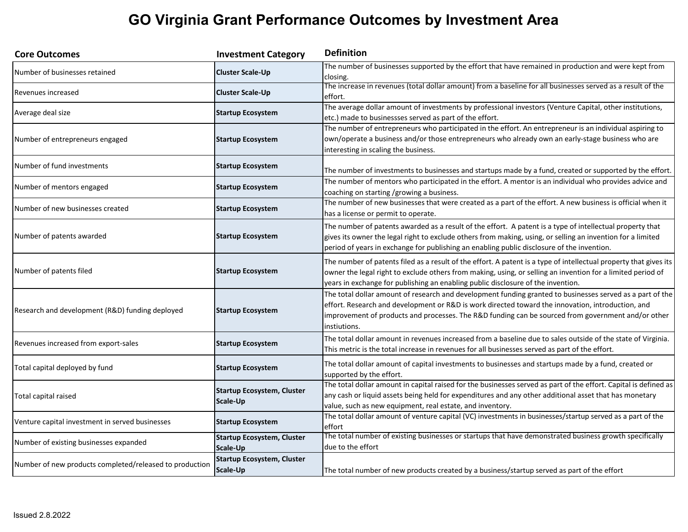## **GO Virginia Grant Performance Outcomes by Investment Area**

| <b>Core Outcomes</b>                                    | <b>Investment Category</b>                    | <b>Definition</b>                                                                                                                                                                                                                                                                                                                    |
|---------------------------------------------------------|-----------------------------------------------|--------------------------------------------------------------------------------------------------------------------------------------------------------------------------------------------------------------------------------------------------------------------------------------------------------------------------------------|
| Number of businesses retained                           | <b>Cluster Scale-Up</b>                       | The number of businesses supported by the effort that have remained in production and were kept from<br>closing.                                                                                                                                                                                                                     |
| Revenues increased                                      | <b>Cluster Scale-Up</b>                       | The increase in revenues (total dollar amount) from a baseline for all businesses served as a result of the<br>effort.                                                                                                                                                                                                               |
| Average deal size                                       | <b>Startup Ecosystem</b>                      | The average dollar amount of investments by professional investors (Venture Capital, other institutions,<br>etc.) made to businessses served as part of the effort.                                                                                                                                                                  |
| Number of entrepreneurs engaged                         | <b>Startup Ecosystem</b>                      | The number of entrepreneurs who participated in the effort. An entrepreneur is an individual aspiring to<br>own/operate a business and/or those entrepreneurs who already own an early-stage business who are<br>interesting in scaling the business.                                                                                |
| Number of fund investments                              | <b>Startup Ecosystem</b>                      | The number of investments to businesses and startups made by a fund, created or supported by the effort.                                                                                                                                                                                                                             |
| Number of mentors engaged                               | <b>Startup Ecosystem</b>                      | The number of mentors who participated in the effort. A mentor is an individual who provides advice and<br>coaching on starting /growing a business.                                                                                                                                                                                 |
| Number of new businesses created                        | <b>Startup Ecosystem</b>                      | The number of new businesses that were created as a part of the effort. A new business is official when it<br>has a license or permit to operate.                                                                                                                                                                                    |
| Number of patents awarded                               | <b>Startup Ecosystem</b>                      | The number of patents awarded as a result of the effort. A patent is a type of intellectual property that<br>gives its owner the legal right to exclude others from making, using, or selling an invention for a limited<br>period of years in exchange for publishing an enabling public disclosure of the invention.               |
| Number of patents filed                                 | <b>Startup Ecosystem</b>                      | The number of patents filed as a result of the effort. A patent is a type of intellectual property that gives its<br>owner the legal right to exclude others from making, using, or selling an invention for a limited period of<br>years in exchange for publishing an enabling public disclosure of the invention.                 |
| Research and development (R&D) funding deployed         | <b>Startup Ecosystem</b>                      | The total dollar amount of research and development funding granted to businesses served as a part of the<br>effort. Research and development or R&D is work directed toward the innovation, introduction, and<br>improvement of products and processes. The R&D funding can be sourced from government and/or other<br>instiutions. |
| Revenues increased from export-sales                    | <b>Startup Ecosystem</b>                      | The total dollar amount in revenues increased from a baseline due to sales outside of the state of Virginia.<br>This metric is the total increase in revenues for all businesses served as part of the effort.                                                                                                                       |
| Total capital deployed by fund                          | <b>Startup Ecosystem</b>                      | The total dollar amount of capital investments to businesses and startups made by a fund, created or<br>supported by the effort.                                                                                                                                                                                                     |
| Total capital raised                                    | <b>Startup Ecosystem, Cluster</b><br>Scale-Up | The total dollar amount in capital raised for the businesses served as part of the effort. Capital is defined as<br>any cash or liquid assets being held for expenditures and any other additional asset that has monetary<br>value, such as new equipment, real estate, and inventory.                                              |
| Venture capital investment in served businesses         | <b>Startup Ecosystem</b>                      | The total dollar amount of venture capital (VC) investments in businesses/startup served as a part of the<br>effort                                                                                                                                                                                                                  |
| Number of existing businesses expanded                  | <b>Startup Ecosystem, Cluster</b><br>Scale-Up | The total number of existing businesses or startups that have demonstrated business growth specifically<br>due to the effort                                                                                                                                                                                                         |
| Number of new products completed/released to production | <b>Startup Ecosystem, Cluster</b><br>Scale-Up | The total number of new products created by a business/startup served as part of the effort                                                                                                                                                                                                                                          |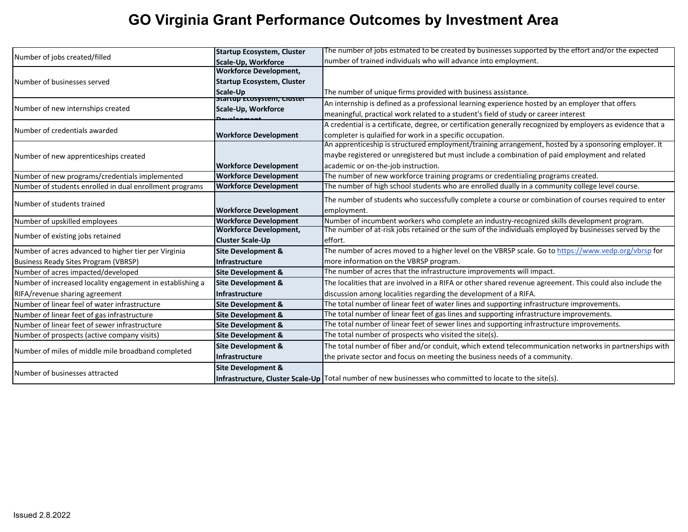## **GO Virginia Grant Performance Outcomes by Investment Area**

|                                                           | <b>Startup Ecosystem, Cluster</b> | The number of jobs estmated to be created by businesses supported by the effort and/or the expected            |
|-----------------------------------------------------------|-----------------------------------|----------------------------------------------------------------------------------------------------------------|
| Number of jobs created/filled                             | Scale-Up, Workforce               | number of trained individuals who will advance into employment.                                                |
|                                                           | <b>Workforce Development,</b>     |                                                                                                                |
| Number of businesses served                               | <b>Startup Ecosystem, Cluster</b> |                                                                                                                |
|                                                           | Scale-Up                          | The number of unique firms provided with business assistance.                                                  |
|                                                           | startup ecosystem, cluster        | An internship is defined as a professional learning experience hosted by an employer that offers               |
| Number of new internships created                         | Scale-Up, Workforce               | meaningful, practical work related to a student's field of study or career interest                            |
|                                                           |                                   | A credential is a certificate, degree, or certification generally recognized by employers as evidence that a   |
| Number of credentials awarded                             | <b>Workforce Development</b>      | completer is qulaified for work in a specific occupation.                                                      |
|                                                           |                                   | An apprenticeship is structured employment/training arrangement, hosted by a sponsoring employer. It           |
| Number of new apprenticeships created                     |                                   | maybe registered or unregistered but must include a combination of paid employment and related                 |
|                                                           | <b>Workforce Development</b>      | academic or on-the-job instruction.                                                                            |
| Number of new programs/credentials implemented            | <b>Workforce Development</b>      | The number of new workforce training programs or credentialing programs created.                               |
| Number of students enrolled in dual enrollment programs   | <b>Workforce Development</b>      | The number of high school students who are enrolled dually in a community college level course.                |
|                                                           |                                   | The number of students who successfully complete a course or combination of courses required to enter          |
| Number of students trained                                | <b>Workforce Development</b>      | employment.                                                                                                    |
| Number of upskilled employees                             | <b>Workforce Development</b>      | Number of incumbent workers who complete an industry-recognized skills development program.                    |
|                                                           | <b>Workforce Development,</b>     | The number of at-risk jobs retained or the sum of the individuals employed by businesses served by the         |
| Number of existing jobs retained                          | <b>Cluster Scale-Up</b>           | effort.                                                                                                        |
| Number of acres advanced to higher tier per Virginia      | <b>Site Development &amp;</b>     | The number of acres moved to a higher level on the VBRSP scale. Go to https://www.vedp.org/vbrsp for           |
| Business Ready Sites Program (VBRSP)                      | Infrastructure                    | more information on the VBRSP program.                                                                         |
| Number of acres impacted/developed                        | <b>Site Development &amp;</b>     | The number of acres that the infrastructure improvements will impact.                                          |
| Number of increased locality engagement in establishing a | <b>Site Development &amp;</b>     | The localities that are involved in a RIFA or other shared revenue agreement. This could also include the      |
| RIFA/revenue sharing agreement                            | Infrastructure                    | discussion among localities regarding the development of a RIFA.                                               |
| Number of linear feel of water infrastructure             | <b>Site Development &amp;</b>     | The total number of linear feet of water lines and supporting infrastructure improvements.                     |
| Number of linear feet of gas infrastructure               | <b>Site Development &amp;</b>     | The total number of linear feet of gas lines and supporting infrastructure improvements.                       |
| Number of linear feet of sewer infrastructure             | <b>Site Development &amp;</b>     | The total number of linear feet of sewer lines and supporting infrastructure improvements.                     |
| Number of prospects (active company visits)               | <b>Site Development &amp;</b>     | The total number of prospects who visited the site(s).                                                         |
|                                                           | <b>Site Development &amp;</b>     | The total number of fiber and/or conduit, which extend telecommunication networks in partnerships with         |
| Number of miles of middle mile broadband completed        | Infrastructure                    | the private sector and focus on meeting the business needs of a community.                                     |
|                                                           | <b>Site Development &amp;</b>     |                                                                                                                |
| Number of businesses attracted                            |                                   | <b>Infrastructure, Cluster Scale-Up</b> Total number of new businesses who committed to locate to the site(s). |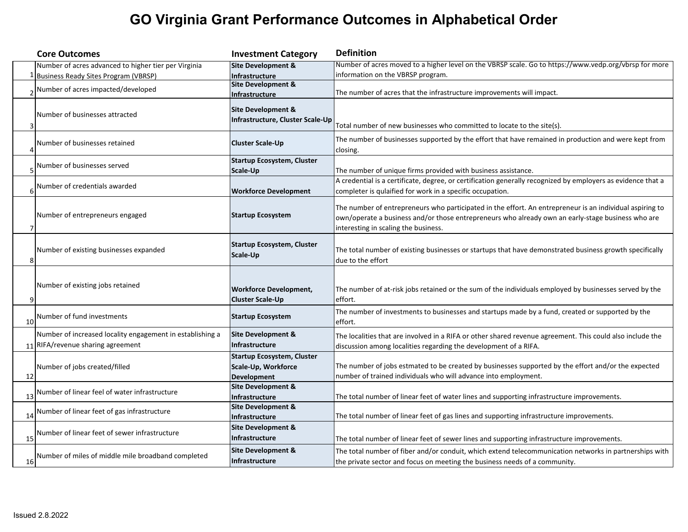## **GO Virginia Grant Performance Outcomes in Alphabetical Order**

|    | <b>Core Outcomes</b>                                                                                | <b>Investment Category</b>                                                     | <b>Definition</b>                                                                                                                                                                                                                                     |
|----|-----------------------------------------------------------------------------------------------------|--------------------------------------------------------------------------------|-------------------------------------------------------------------------------------------------------------------------------------------------------------------------------------------------------------------------------------------------------|
|    | Number of acres advanced to higher tier per Virginia<br><b>Business Ready Sites Program (VBRSP)</b> | <b>Site Development &amp;</b><br>Infrastructure                                | Number of acres moved to a higher level on the VBRSP scale. Go to https://www.vedp.org/vbrsp for more<br>information on the VBRSP program.                                                                                                            |
|    | >Number of acres impacted/developed                                                                 | <b>Site Development &amp;</b><br>Infrastructure                                | The number of acres that the infrastructure improvements will impact.                                                                                                                                                                                 |
|    | Number of businesses attracted                                                                      | <b>Site Development &amp;</b><br>Infrastructure, Cluster Scale-Up              | Total number of new businesses who committed to locate to the site(s).                                                                                                                                                                                |
| Δ  | Number of businesses retained                                                                       | <b>Cluster Scale-Up</b>                                                        | The number of businesses supported by the effort that have remained in production and were kept from<br>closing.                                                                                                                                      |
|    | Number of businesses served                                                                         | <b>Startup Ecosystem, Cluster</b><br>Scale-Up                                  | The number of unique firms provided with business assistance.                                                                                                                                                                                         |
|    | Number of credentials awarded                                                                       | <b>Workforce Development</b>                                                   | A credential is a certificate, degree, or certification generally recognized by employers as evidence that a<br>completer is qulaified for work in a specific occupation.                                                                             |
|    | Number of entrepreneurs engaged                                                                     | <b>Startup Ecosystem</b>                                                       | The number of entrepreneurs who participated in the effort. An entrepreneur is an individual aspiring to<br>own/operate a business and/or those entrepreneurs who already own an early-stage business who are<br>interesting in scaling the business. |
| 8  | Number of existing businesses expanded                                                              | <b>Startup Ecosystem, Cluster</b><br>Scale-Up                                  | The total number of existing businesses or startups that have demonstrated business growth specifically<br>due to the effort                                                                                                                          |
| q  | Number of existing jobs retained                                                                    | <b>Workforce Development,</b><br><b>Cluster Scale-Up</b>                       | The number of at-risk jobs retained or the sum of the individuals employed by businesses served by the<br>effort.                                                                                                                                     |
| 10 | Number of fund investments                                                                          | <b>Startup Ecosystem</b>                                                       | The number of investments to businesses and startups made by a fund, created or supported by the<br>effort.                                                                                                                                           |
|    | Number of increased locality engagement in establishing a<br>$11$ RIFA/revenue sharing agreement    | <b>Site Development &amp;</b><br><b>Infrastructure</b>                         | The localities that are involved in a RIFA or other shared revenue agreement. This could also include the<br>discussion among localities regarding the development of a RIFA.                                                                         |
| 12 | Number of jobs created/filled                                                                       | <b>Startup Ecosystem, Cluster</b><br>Scale-Up, Workforce<br><b>Development</b> | The number of jobs estmated to be created by businesses supported by the effort and/or the expected<br>number of trained individuals who will advance into employment.                                                                                |
| 13 | Number of linear feel of water infrastructure                                                       | <b>Site Development &amp;</b><br>Infrastructure                                | The total number of linear feet of water lines and supporting infrastructure improvements.                                                                                                                                                            |
| 14 | Number of linear feet of gas infrastructure                                                         | <b>Site Development &amp;</b><br>Infrastructure                                | The total number of linear feet of gas lines and supporting infrastructure improvements.                                                                                                                                                              |
| 15 | Number of linear feet of sewer infrastructure                                                       | <b>Site Development &amp;</b><br><b>Infrastructure</b>                         | The total number of linear feet of sewer lines and supporting infrastructure improvements.                                                                                                                                                            |
| 16 | Number of miles of middle mile broadband completed                                                  | Site Development &<br>Infrastructure                                           | The total number of fiber and/or conduit, which extend telecommunication networks in partnerships with<br>the private sector and focus on meeting the business needs of a community.                                                                  |